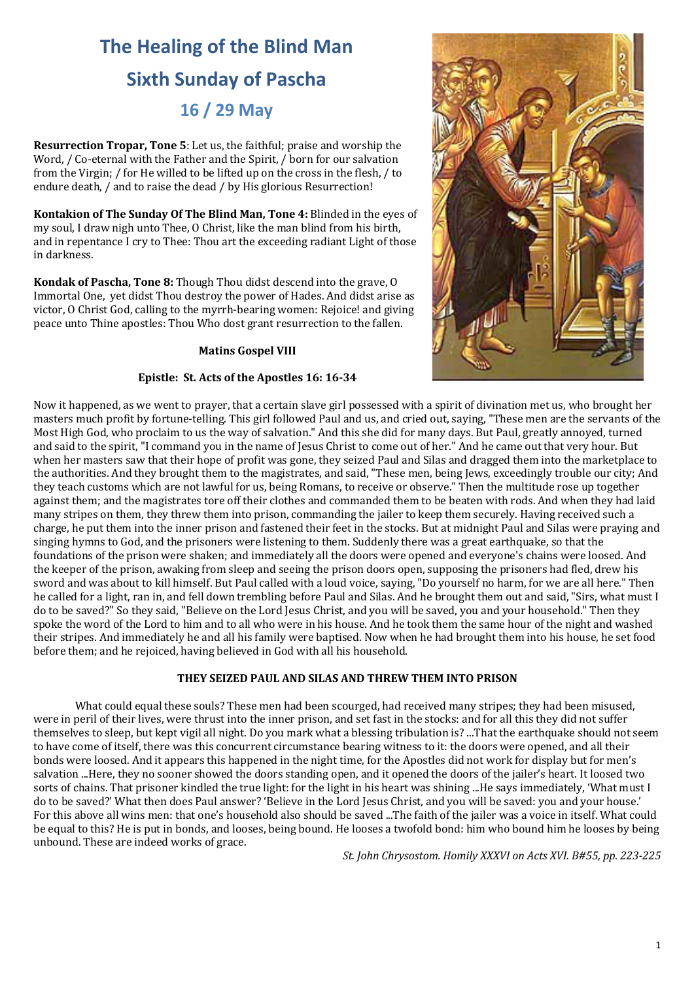# **The Healing of the Blind Man Sixth Sunday of Pascha 16 / 29 May**

**Resurrection Tropar, Tone 5**: Let us, the faithful; praise and worship the Word, / Co-eternal with the Father and the Spirit, / born for our salvation from the Virgin; / for He willed to be lifted up on the cross in the flesh, / to endure death, / and to raise the dead / by His glorious Resurrection!

**Kontakion of The Sunday Of The Blind Man, Tone 4: Blinded in the eyes of** my soul, I draw nigh unto Thee, O Christ, like the man blind from his birth, and in repentance I cry to Thee: Thou art the exceeding radiant Light of those in darkness.

**Kondak of Pascha, Tone 8:** Though Thou didst descend into the grave, O Immortal One, yet didst Thou destroy the power of Hades. And didst arise as victor, O Christ God, calling to the myrrh-bearing women: Rejoice! and giving peace unto Thine apostles: Thou Who dost grant resurrection to the fallen.

# **Matins Gospel VIII**

# Epistle: St. Acts of the Apostles 16: 16-34

Now it happened, as we went to prayer, that a certain slave girl possessed with a spirit of divination met us, who brought her masters much profit by fortune-telling. This girl followed Paul and us, and cried out, saying, "These men are the servants of the Most High God, who proclaim to us the way of salvation." And this she did for many days. But Paul, greatly annoyed, turned and said to the spirit, "I command you in the name of Jesus Christ to come out of her." And he came out that very hour. But when her masters saw that their hope of profit was gone, they seized Paul and Silas and dragged them into the marketplace to the authorities. And they brought them to the magistrates, and said, "These men, being Jews, exceedingly trouble our city; And they teach customs which are not lawful for us, being Romans, to receive or observe." Then the multitude rose up together against them; and the magistrates tore off their clothes and commanded them to be beaten with rods. And when they had laid many stripes on them, they threw them into prison, commanding the jailer to keep them securely. Having received such a charge, he put them into the inner prison and fastened their feet in the stocks. But at midnight Paul and Silas were praying and singing hymns to God, and the prisoners were listening to them. Suddenly there was a great earthquake, so that the foundations of the prison were shaken; and immediately all the doors were opened and everyone's chains were loosed. And the keeper of the prison, awaking from sleep and seeing the prison doors open, supposing the prisoners had fled, drew his sword and was about to kill himself. But Paul called with a loud voice, saying, "Do yourself no harm, for we are all here." Then he called for a light, ran in, and fell down trembling before Paul and Silas. And he brought them out and said, "Sirs, what must I do to be saved?" So they said, "Believe on the Lord Jesus Christ, and you will be saved, you and your household." Then they spoke the word of the Lord to him and to all who were in his house. And he took them the same hour of the night and washed their stripes. And immediately he and all his family were baptised. Now when he had brought them into his house, he set food before them; and he rejoiced, having believed in God with all his household.

# THEY SEIZED PAUL AND SILAS AND THREW THEM INTO PRISON

What could equal these souls? These men had been scourged, had received many stripes; they had been misused, were in peril of their lives, were thrust into the inner prison, and set fast in the stocks: and for all this they did not suffer themselves to sleep, but kept vigil all night. Do you mark what a blessing tribulation is? ...That the earthquake should not seem to have come of itself, there was this concurrent circumstance bearing witness to it: the doors were opened, and all their bonds were loosed. And it appears this happened in the night time, for the Apostles did not work for display but for men's salvation ...Here, they no sooner showed the doors standing open, and it opened the doors of the jailer's heart. It loosed two sorts of chains. That prisoner kindled the true light: for the light in his heart was shining ...He says immediately. 'What must I do to be saved?' What then does Paul answer? 'Believe in the Lord Jesus Christ, and you will be saved: you and your house.' For this above all wins men: that one's household also should be saved ...The faith of the jailer was a voice in itself. What could be equal to this? He is put in bonds, and looses, being bound. He looses a twofold bond: him who bound him he looses by being unbound. These are indeed works of grace.

St. John Chrysostom. Homily XXXVI on Acts XVI. B#55, pp. 223-225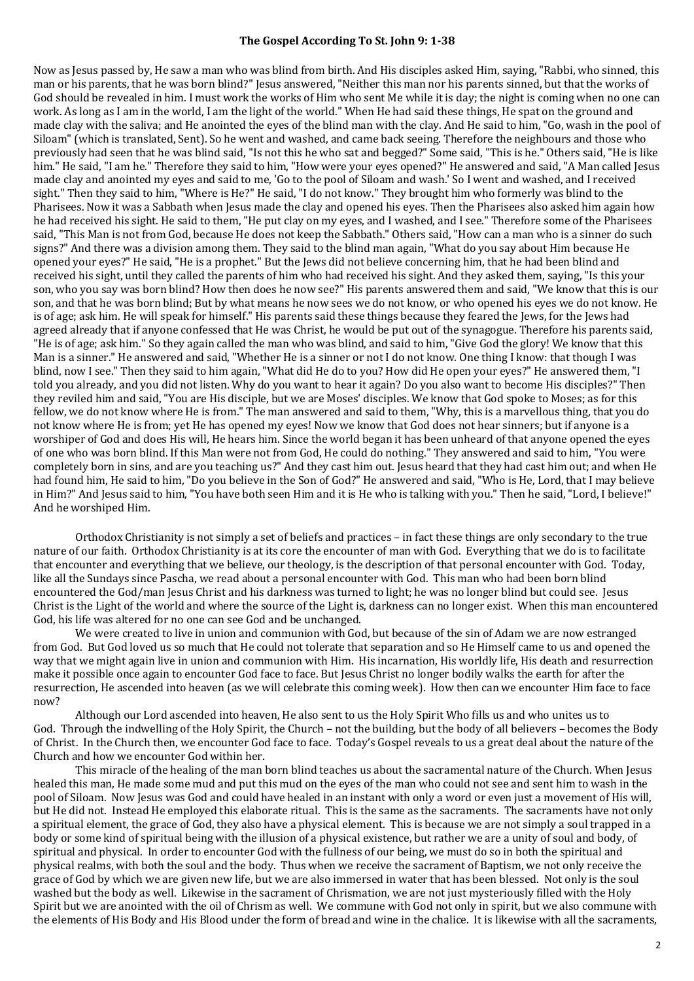### The Gospel According To St. John 9: 1-38

Now as Jesus passed by, He saw a man who was blind from birth. And His disciples asked Him, saying, "Rabbi, who sinned, this man or his parents, that he was born blind?" Jesus answered, "Neither this man nor his parents sinned, but that the works of God should be revealed in him. I must work the works of Him who sent Me while it is day; the night is coming when no one can work. As long as I am in the world, I am the light of the world." When He had said these things, He spat on the ground and made clay with the saliva; and He anointed the eyes of the blind man with the clay. And He said to him, "Go, wash in the pool of Siloam" (which is translated, Sent). So he went and washed, and came back seeing. Therefore the neighbours and those who previously had seen that he was blind said, "Is not this he who sat and begged?" Some said, "This is he." Others said, "He is like him." He said, "I am he." Therefore they said to him, "How were your eyes opened?" He answered and said, "A Man called Jesus made clay and anointed my eves and said to me. 'Go to the pool of Siloam and wash.' So I went and washed, and I received sight." Then they said to him, "Where is He?" He said, "I do not know." They brought him who formerly was blind to the Pharisees. Now it was a Sabbath when Jesus made the clay and opened his eyes. Then the Pharisees also asked him again how he had received his sight. He said to them, "He put clay on my eyes, and I washed, and I see." Therefore some of the Pharisees said, "This Man is not from God, because He does not keep the Sabbath." Others said, "How can a man who is a sinner do such signs?" And there was a division among them. They said to the blind man again, "What do you say about Him because He opened your eyes?" He said, "He is a prophet." But the Jews did not believe concerning him, that he had been blind and received his sight, until they called the parents of him who had received his sight. And they asked them, saying, "Is this your son, who you say was born blind? How then does he now see?" His parents answered them and said, "We know that this is our son, and that he was born blind; But by what means he now sees we do not know, or who opened his eyes we do not know. He is of age; ask him. He will speak for himself." His parents said these things because they feared the Jews, for the Jews had agreed already that if anyone confessed that He was Christ, he would be put out of the synagogue. Therefore his parents said, "He is of age; ask him." So they again called the man who was blind, and said to him, "Give God the glory! We know that this Man is a sinner." He answered and said, "Whether He is a sinner or not I do not know. One thing I know: that though I was blind, now I see." Then they said to him again, "What did He do to you? How did He open your eyes?" He answered them, "I told you already, and you did not listen. Why do you want to hear it again? Do you also want to become His disciples?" Then they reviled him and said, "You are His disciple, but we are Moses' disciples. We know that God spoke to Moses; as for this fellow, we do not know where He is from." The man answered and said to them, "Why, this is a marvellous thing, that you do not know where He is from; yet He has opened my eyes! Now we know that God does not hear sinners; but if anyone is a worshiper of God and does His will, He hears him. Since the world began it has been unheard of that anyone opened the eyes of one who was born blind. If this Man were not from God, He could do nothing." They answered and said to him, "You were completely born in sins, and are you teaching us?" And they cast him out. Jesus heard that they had cast him out; and when He had found him, He said to him, "Do you believe in the Son of God?" He answered and said, "Who is He, Lord, that I may believe in Him?" And Jesus said to him, "You have both seen Him and it is He who is talking with you." Then he said, "Lord, I believe!" And he worshiped Him.

Orthodox Christianity is not simply a set of beliefs and practices – in fact these things are only secondary to the true nature of our faith. Orthodox Christianity is at its core the encounter of man with God. Everything that we do is to facilitate that encounter and everything that we believe, our theology, is the description of that personal encounter with God. Today, like all the Sundays since Pascha, we read about a personal encounter with God. This man who had been born blind encountered the God/man Jesus Christ and his darkness was turned to light; he was no longer blind but could see. Jesus Christ is the Light of the world and where the source of the Light is, darkness can no longer exist. When this man encountered God, his life was altered for no one can see God and be unchanged.

We were created to live in union and communion with God, but because of the sin of Adam we are now estranged from God. But God loved us so much that He could not tolerate that separation and so He Himself came to us and opened the way that we might again live in union and communion with Him. His incarnation, His worldly life. His death and resurrection make it possible once again to encounter God face to face. But Jesus Christ no longer bodily walks the earth for after the resurrection, He ascended into heaven (as we will celebrate this coming week). How then can we encounter Him face to face now?

Although our Lord ascended into heaven, He also sent to us the Holy Spirit Who fills us and who unites us to God. Through the indwelling of the Holy Spirit, the Church – not the building, but the body of all believers – becomes the Body of Christ. In the Church then, we encounter God face to face. Today's Gospel reveals to us a great deal about the nature of the Church and how we encounter God within her.

This miracle of the healing of the man born blind teaches us about the sacramental nature of the Church. When Jesus healed this man, He made some mud and put this mud on the eyes of the man who could not see and sent him to wash in the pool of Siloam. Now Jesus was God and could have healed in an instant with only a word or even just a movement of His will, but He did not. Instead He employed this elaborate ritual. This is the same as the sacraments. The sacraments have not only a spiritual element, the grace of God, they also have a physical element. This is because we are not simply a soul trapped in a body or some kind of spiritual being with the illusion of a physical existence, but rather we are a unity of soul and body, of spiritual and physical. In order to encounter God with the fullness of our being, we must do so in both the spiritual and physical realms, with both the soul and the body. Thus when we receive the sacrament of Baptism, we not only receive the grace of God by which we are given new life, but we are also immersed in water that has been blessed. Not only is the soul washed but the body as well. Likewise in the sacrament of Chrismation, we are not just mysteriously filled with the Holy Spirit but we are anointed with the oil of Chrism as well. We commune with God not only in spirit, but we also commune with the elements of His Body and His Blood under the form of bread and wine in the chalice. It is likewise with all the sacraments,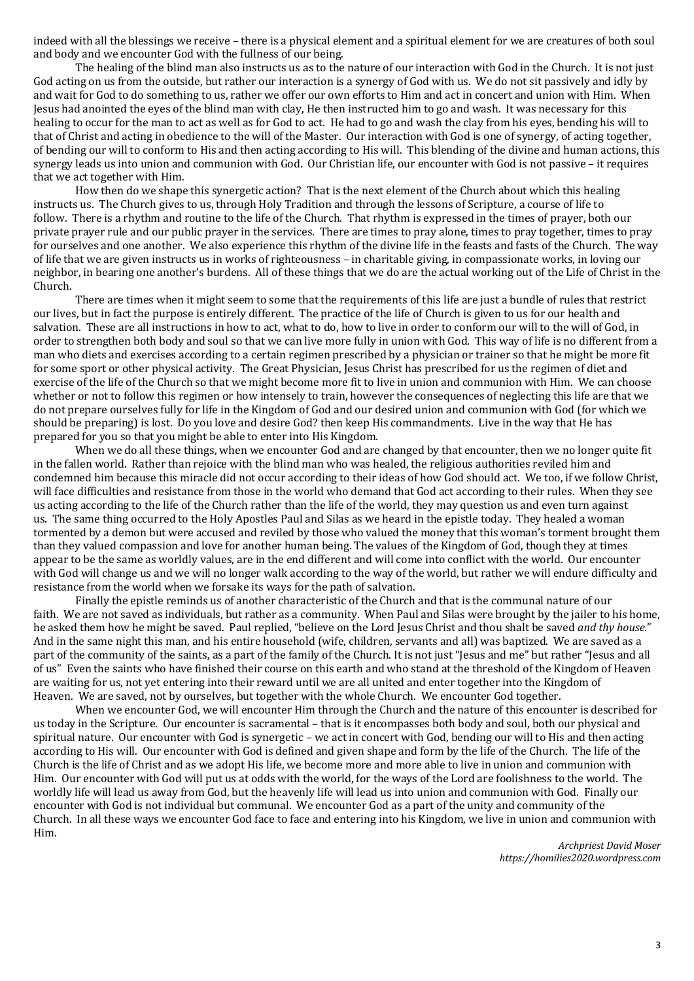indeed with all the blessings we receive - there is a physical element and a spiritual element for we are creatures of both soul and body and we encounter God with the fullness of our being.

The healing of the blind man also instructs us as to the nature of our interaction with God in the Church. It is not just God acting on us from the outside, but rather our interaction is a synergy of God with us. We do not sit passively and idly by and wait for God to do something to us, rather we offer our own efforts to Him and act in concert and union with Him. When Jesus had anointed the eyes of the blind man with clay, He then instructed him to go and wash. It was necessary for this healing to occur for the man to act as well as for God to act. He had to go and wash the clay from his eyes, bending his will to that of Christ and acting in obedience to the will of the Master. Our interaction with God is one of synergy, of acting together, of bending our will to conform to His and then acting according to His will. This blending of the divine and human actions, this synergy leads us into union and communion with God. Our Christian life, our encounter with God is not passive – it requires that we act together with Him.

How then do we shape this synergetic action? That is the next element of the Church about which this healing instructs us. The Church gives to us, through Holy Tradition and through the lessons of Scripture, a course of life to follow. There is a rhythm and routine to the life of the Church. That rhythm is expressed in the times of prayer, both our private prayer rule and our public prayer in the services. There are times to pray alone, times to pray together, times to pray for ourselves and one another. We also experience this rhythm of the divine life in the feasts and fasts of the Church. The way of life that we are given instructs us in works of righteousness – in charitable giving, in compassionate works, in loving our neighbor, in bearing one another's burdens. All of these things that we do are the actual working out of the Life of Christ in the Church.

There are times when it might seem to some that the requirements of this life are just a bundle of rules that restrict our lives, but in fact the purpose is entirely different. The practice of the life of Church is given to us for our health and salvation. These are all instructions in how to act, what to do, how to live in order to conform our will to the will of God, in order to strengthen both body and soul so that we can live more fully in union with God. This way of life is no different from a man who diets and exercises according to a certain regimen prescribed by a physician or trainer so that he might be more fit for some sport or other physical activity. The Great Physician, Jesus Christ has prescribed for us the regimen of diet and exercise of the life of the Church so that we might become more fit to live in union and communion with Him. We can choose whether or not to follow this regimen or how intensely to train, however the consequences of neglecting this life are that we do not prepare ourselves fully for life in the Kingdom of God and our desired union and communion with God (for which we should be preparing) is lost. Do you love and desire God? then keep His commandments. Live in the way that He has prepared for you so that you might be able to enter into His Kingdom.

When we do all these things, when we encounter God and are changed by that encounter, then we no longer quite fit in the fallen world. Rather than rejoice with the blind man who was healed, the religious authorities reviled him and condemned him because this miracle did not occur according to their ideas of how God should act. We too, if we follow Christ, will face difficulties and resistance from those in the world who demand that God act according to their rules. When they see us acting according to the life of the Church rather than the life of the world, they may question us and even turn against us. The same thing occurred to the Holy Apostles Paul and Silas as we heard in the epistle today. They healed a woman tormented by a demon but were accused and reviled by those who valued the money that this woman's torment brought them than they valued compassion and love for another human being. The values of the Kingdom of God, though they at times appear to be the same as worldly values, are in the end different and will come into conflict with the world. Our encounter with God will change us and we will no longer walk according to the way of the world, but rather we will endure difficulty and resistance from the world when we forsake its ways for the path of salvation.

Finally the epistle reminds us of another characteristic of the Church and that is the communal nature of our faith. We are not saved as individuals, but rather as a community. When Paul and Silas were brought by the jailer to his home, he asked them how he might be saved. Paul replied, "believe on the Lord Jesus Christ and thou shalt be saved *and thy house*." And in the same night this man, and his entire household (wife, children, servants and all) was baptized. We are saved as a part of the community of the saints, as a part of the family of the Church. It is not just "Jesus and me" but rather "Jesus and all of us" Even the saints who have finished their course on this earth and who stand at the threshold of the Kingdom of Heaven are waiting for us, not yet entering into their reward until we are all united and enter together into the Kingdom of Heaven. We are saved, not by ourselves, but together with the whole Church. We encounter God together.

When we encounter God, we will encounter Him through the Church and the nature of this encounter is described for us today in the Scripture. Our encounter is sacramental – that is it encompasses both body and soul, both our physical and spiritual nature. Our encounter with God is synergetic – we act in concert with God, bending our will to His and then acting according to His will. Our encounter with God is defined and given shape and form by the life of the Church. The life of the Church is the life of Christ and as we adopt His life, we become more and more able to live in union and communion with Him. Our encounter with God will put us at odds with the world, for the ways of the Lord are foolishness to the world. The worldly life will lead us away from God, but the heavenly life will lead us into union and communion with God. Finally our encounter with God is not individual but communal. We encounter God as a part of the unity and community of the Church. In all these ways we encounter God face to face and entering into his Kingdom, we live in union and communion with Him.

> *Archpriest David Moser https://homilies2020.wordpress.com*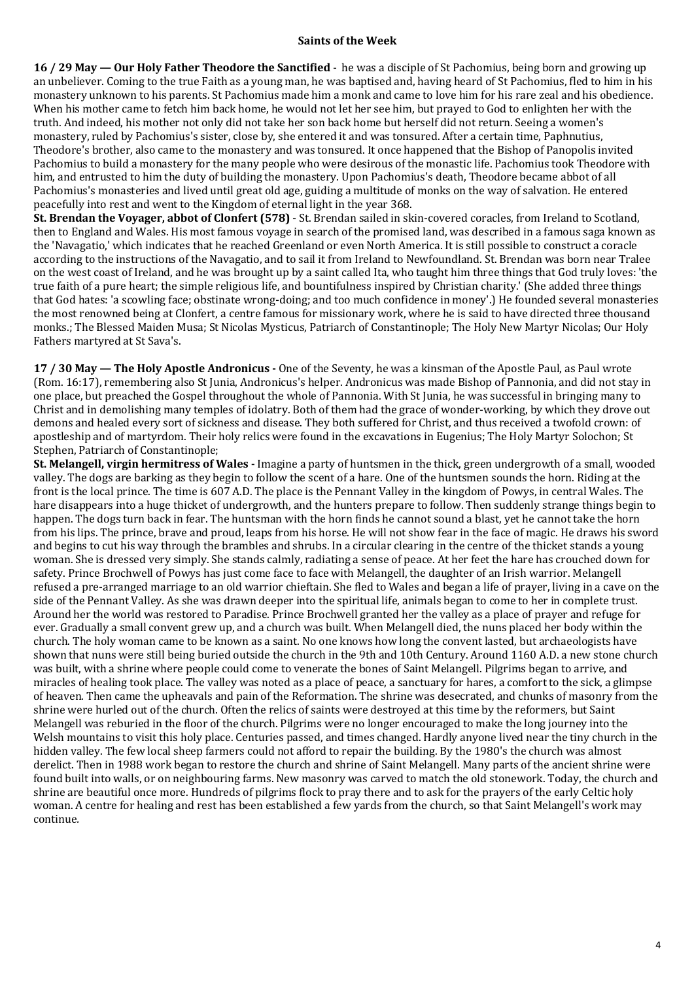# **Saints of the Week**

**16 / 29 May — Our Holy Father Theodore the Sanctified** - he was a disciple of St Pachomius, being born and growing up an unbeliever. Coming to the true Faith as a young man, he was baptised and, having heard of St Pachomius, fled to him in his monastery unknown to his parents. St Pachomius made him a monk and came to love him for his rare zeal and his obedience. When his mother came to fetch him back home, he would not let her see him, but prayed to God to enlighten her with the truth. And indeed, his mother not only did not take her son back home but herself did not return. Seeing a women's monastery, ruled by Pachomius's sister, close by, she entered it and was tonsured. After a certain time, Paphnutius, Theodore's brother, also came to the monastery and was tonsured. It once happened that the Bishop of Panopolis invited Pachomius to build a monastery for the many people who were desirous of the monastic life. Pachomius took Theodore with him, and entrusted to him the duty of building the monastery. Upon Pachomius's death, Theodore became abbot of all Pachomius's monasteries and lived until great old age, guiding a multitude of monks on the way of salvation. He entered peacefully into rest and went to the Kingdom of eternal light in the year 368.

**St. Brendan the Voyager, abbot of Clonfert (578)** - St. Brendan sailed in skin-covered coracles, from Ireland to Scotland, then to England and Wales. His most famous voyage in search of the promised land, was described in a famous saga known as the 'Navagatio,' which indicates that he reached Greenland or even North America. It is still possible to construct a coracle according to the instructions of the Navagatio, and to sail it from Ireland to Newfoundland. St. Brendan was born near Tralee on the west coast of Ireland, and he was brought up by a saint called Ita, who taught him three things that God truly loves: 'the true faith of a pure heart; the simple religious life, and bountifulness inspired by Christian charity.' (She added three things that God hates: 'a scowling face; obstinate wrong-doing; and too much confidence in money'.) He founded several monasteries the most renowned being at Clonfert, a centre famous for missionary work, where he is said to have directed three thousand monks.; The Blessed Maiden Musa; St Nicolas Mysticus, Patriarch of Constantinople; The Holy New Martyr Nicolas; Our Holy Fathers martyred at St Sava's.

**17 / 30 May — The Holy Apostle Andronicus** - One of the Seventy, he was a kinsman of the Apostle Paul, as Paul wrote (Rom. 16:17), remembering also St Junia, Andronicus's helper. Andronicus was made Bishop of Pannonia, and did not stay in one place, but preached the Gospel throughout the whole of Pannonia. With St Iunia, he was successful in bringing many to Christ and in demolishing many temples of idolatry. Both of them had the grace of wonder-working, by which they drove out demons and healed every sort of sickness and disease. They both suffered for Christ, and thus received a twofold crown: of apostleship and of martyrdom. Their holy relics were found in the excavations in Eugenius; The Holy Martyr Solochon; St Stephen, Patriarch of Constantinople;

**St. Melangell, virgin hermitress of Wales** - Imagine a party of huntsmen in the thick, green undergrowth of a small, wooded valley. The dogs are barking as they begin to follow the scent of a hare. One of the huntsmen sounds the horn. Riding at the front is the local prince. The time is 607 A.D. The place is the Pennant Valley in the kingdom of Powys, in central Wales. The hare disappears into a huge thicket of undergrowth, and the hunters prepare to follow. Then suddenly strange things begin to happen. The dogs turn back in fear. The huntsman with the horn finds he cannot sound a blast, yet he cannot take the horn from his lips. The prince, brave and proud, leaps from his horse. He will not show fear in the face of magic. He draws his sword and begins to cut his way through the brambles and shrubs. In a circular clearing in the centre of the thicket stands a young woman. She is dressed very simply. She stands calmly, radiating a sense of peace. At her feet the hare has crouched down for safety. Prince Brochwell of Powys has just come face to face with Melangell, the daughter of an Irish warrior. Melangell refused a pre-arranged marriage to an old warrior chieftain. She fled to Wales and began a life of prayer, living in a cave on the side of the Pennant Valley. As she was drawn deeper into the spiritual life, animals began to come to her in complete trust. Around her the world was restored to Paradise. Prince Brochwell granted her the valley as a place of prayer and refuge for ever. Gradually a small convent grew up, and a church was built. When Melangell died, the nuns placed her body within the church. The holy woman came to be known as a saint. No one knows how long the convent lasted, but archaeologists have shown that nuns were still being buried outside the church in the 9th and 10th Century. Around 1160 A.D. a new stone church was built, with a shrine where people could come to venerate the bones of Saint Melangell. Pilgrims began to arrive, and miracles of healing took place. The valley was noted as a place of peace, a sanctuary for hares, a comfort to the sick, a glimpse of heaven. Then came the upheavals and pain of the Reformation. The shrine was desecrated, and chunks of masonry from the shrine were hurled out of the church. Often the relics of saints were destroyed at this time by the reformers, but Saint Melangell was reburied in the floor of the church. Pilgrims were no longer encouraged to make the long journey into the Welsh mountains to visit this holy place. Centuries passed, and times changed. Hardly anyone lived near the tiny church in the hidden valley. The few local sheep farmers could not afford to repair the building. By the 1980's the church was almost derelict. Then in 1988 work began to restore the church and shrine of Saint Melangell. Many parts of the ancient shrine were found built into walls, or on neighbouring farms. New masonry was carved to match the old stonework. Today, the church and shrine are beautiful once more. Hundreds of pilgrims flock to pray there and to ask for the prayers of the early Celtic holy woman. A centre for healing and rest has been established a few yards from the church, so that Saint Melangell's work may continue*.*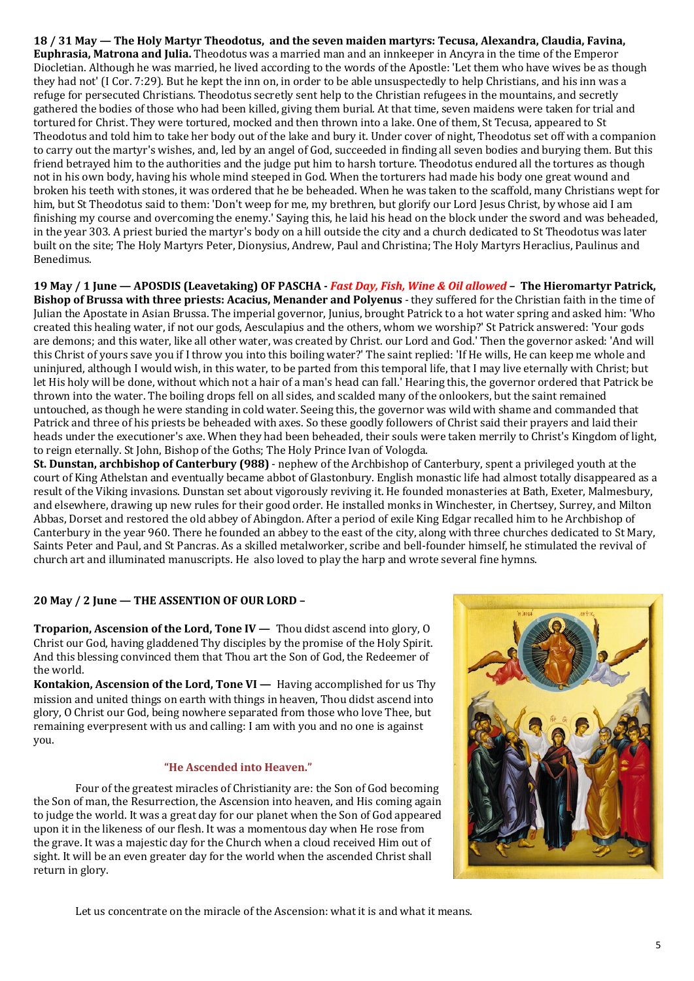**18** / 31 May — The Holy Martyr Theodotus, and the seven maiden martyrs: Tecusa, Alexandra, Claudia, Favina, **Euphrasia, Matrona and Julia.** Theodotus was a married man and an innkeeper in Ancyra in the time of the Emperor Diocletian. Although he was married, he lived according to the words of the Apostle: 'Let them who have wives be as though they had not' (I Cor. 7:29). But he kept the inn on, in order to be able unsuspectedly to help Christians, and his inn was a refuge for persecuted Christians. Theodotus secretly sent help to the Christian refugees in the mountains, and secretly gathered the bodies of those who had been killed, giving them burial. At that time, seven maidens were taken for trial and tortured for Christ. They were tortured, mocked and then thrown into a lake. One of them, St Tecusa, appeared to St Theodotus and told him to take her body out of the lake and bury it. Under cover of night. Theodotus set off with a companion to carry out the martyr's wishes, and, led by an angel of God, succeeded in finding all seven bodies and burying them. But this friend betrayed him to the authorities and the judge put him to harsh torture. Theodotus endured all the tortures as though not in his own body, having his whole mind steeped in God. When the torturers had made his body one great wound and broken his teeth with stones, it was ordered that he be beheaded. When he was taken to the scaffold, many Christians wept for him, but St Theodotus said to them: 'Don't weep for me, my brethren, but glorify our Lord Jesus Christ, by whose aid I am finishing my course and overcoming the enemy.' Saying this, he laid his head on the block under the sword and was beheaded, in the year 303. A priest buried the martyr's body on a hill outside the city and a church dedicated to St Theodotus was later built on the site; The Holy Martyrs Peter, Dionysius, Andrew, Paul and Christina; The Holy Martyrs Heraclius, Paulinus and Benedimus.

**19** May / 1 June — APOSDIS (Leavetaking) OF PASCHA - *Fast Day, Fish, Wine & Oil allowed* – The Hieromartyr Patrick, **Bishop of Brussa with three priests: Acacius, Menander and Polyenus** - they suffered for the Christian faith in the time of Julian the Apostate in Asian Brussa. The imperial governor, Junius, brought Patrick to a hot water spring and asked him: 'Who created this healing water, if not our gods, Aesculapius and the others, whom we worship?' St Patrick answered: 'Your gods are demons; and this water, like all other water, was created by Christ. our Lord and God.' Then the governor asked: 'And will this Christ of yours save you if I throw you into this boiling water?' The saint replied: 'If He wills, He can keep me whole and uninjured, although I would wish, in this water, to be parted from this temporal life, that I may live eternally with Christ; but let His holy will be done, without which not a hair of a man's head can fall.' Hearing this, the governor ordered that Patrick be thrown into the water. The boiling drops fell on all sides, and scalded many of the onlookers, but the saint remained untouched, as though he were standing in cold water. Seeing this, the governor was wild with shame and commanded that Patrick and three of his priests be beheaded with axes. So these goodly followers of Christ said their prayers and laid their heads under the executioner's axe. When they had been beheaded, their souls were taken merrily to Christ's Kingdom of light, to reign eternally. St John, Bishop of the Goths; The Holy Prince Ivan of Vologda.

**St. Dunstan, archbishop of Canterbury (988)** - nephew of the Archbishop of Canterbury, spent a privileged youth at the court of King Athelstan and eventually became abbot of Glastonbury. English monastic life had almost totally disappeared as a result of the Viking invasions. Dunstan set about vigorously reviving it. He founded monasteries at Bath, Exeter, Malmesbury, and elsewhere, drawing up new rules for their good order. He installed monks in Winchester, in Chertsey, Surrey, and Milton Abbas, Dorset and restored the old abbey of Abingdon. After a period of exile King Edgar recalled him to he Archbishop of Canterbury in the year 960. There he founded an abbey to the east of the city, along with three churches dedicated to St Mary, Saints Peter and Paul, and St Pancras. As a skilled metalworker, scribe and bell-founder himself, he stimulated the revival of church art and illuminated manuscripts. He also loved to play the harp and wrote several fine hymns.

# 20 May / 2 June - THE ASSENTION OF OUR LORD -

**Troparion, Ascension of the Lord, Tone IV -** Thou didst ascend into glory, O Christ our God, having gladdened Thy disciples by the promise of the Holy Spirit. And this blessing convinced them that Thou art the Son of God, the Redeemer of the world.

**Kontakion, Ascension of the Lord, Tone VI —** Having accomplished for us Thy mission and united things on earth with things in heaven, Thou didst ascend into glory, O Christ our God, being nowhere separated from those who love Thee, but remaining everpresent with us and calling: I am with you and no one is against you.

# **"He Ascended into Heaven."**

Four of the greatest miracles of Christianity are: the Son of God becoming the Son of man, the Resurrection, the Ascension into heaven, and His coming again to judge the world. It was a great day for our planet when the Son of God appeared upon it in the likeness of our flesh. It was a momentous day when He rose from the grave. It was a majestic day for the Church when a cloud received Him out of sight. It will be an even greater day for the world when the ascended Christ shall return in glory.



Let us concentrate on the miracle of the Ascension: what it is and what it means.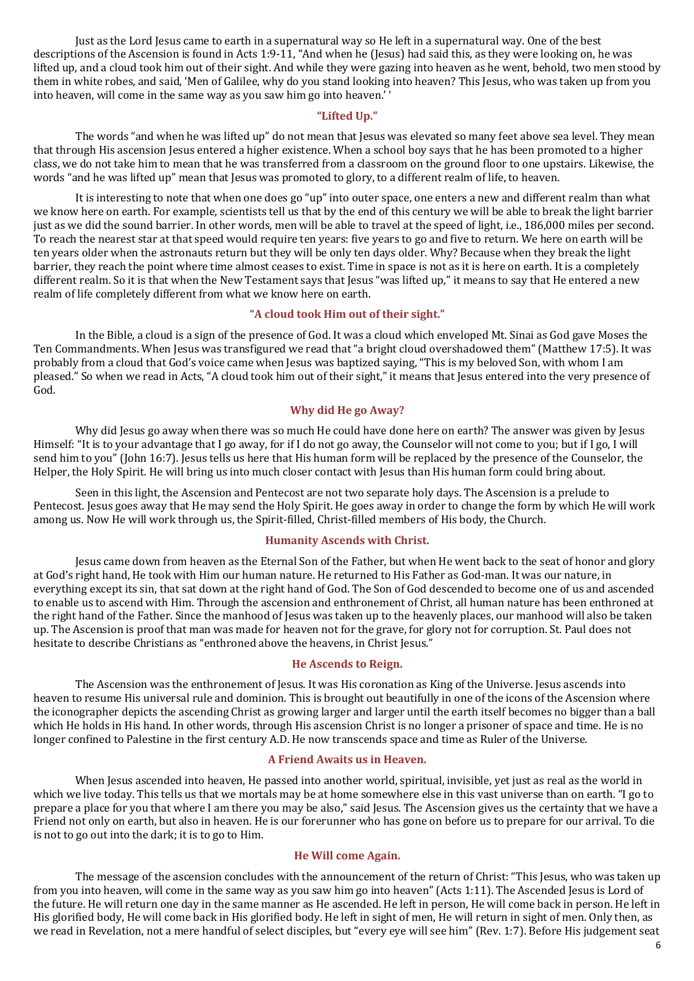Just as the Lord Jesus came to earth in a supernatural way so He left in a supernatural way. One of the best descriptions of the Ascension is found in Acts 1:9-11, "And when he (Jesus) had said this, as they were looking on, he was lifted up, and a cloud took him out of their sight. And while they were gazing into heaven as he went, behold, two men stood by them in white robes, and said, 'Men of Galilee, why do you stand looking into heaven? This Jesus, who was taken up from you into heaven, will come in the same way as you saw him go into heaven.'

#### **"Lifted Up."**

The words "and when he was lifted up" do not mean that Jesus was elevated so many feet above sea level. They mean that through His ascension lesus entered a higher existence. When a school boy says that he has been promoted to a higher class, we do not take him to mean that he was transferred from a classroom on the ground floor to one upstairs. Likewise, the words "and he was lifted up" mean that Jesus was promoted to glory, to a different realm of life, to heaven.

It is interesting to note that when one does go "up" into outer space, one enters a new and different realm than what we know here on earth. For example, scientists tell us that by the end of this century we will be able to break the light barrier just as we did the sound barrier. In other words, men will be able to travel at the speed of light, i.e., 186,000 miles per second. To reach the nearest star at that speed would require ten years: five years to go and five to return. We here on earth will be ten years older when the astronauts return but they will be only ten days older. Why? Because when they break the light barrier, they reach the point where time almost ceases to exist. Time in space is not as it is here on earth. It is a completely different realm. So it is that when the New Testament says that Jesus "was lifted up," it means to say that He entered a new realm of life completely different from what we know here on earth.

# **"A cloud took Him out of their sight."**

In the Bible, a cloud is a sign of the presence of God. It was a cloud which enveloped Mt. Sinai as God gave Moses the Ten Commandments. When Jesus was transfigured we read that "a bright cloud overshadowed them" (Matthew 17:5). It was probably from a cloud that God's voice came when Jesus was baptized saying, "This is my beloved Son, with whom I am pleased." So when we read in Acts, "A cloud took him out of their sight," it means that Jesus entered into the very presence of God.

#### **Why did He go Away?**

Why did Jesus go away when there was so much He could have done here on earth? The answer was given by Jesus Himself: "It is to your advantage that I go away, for if I do not go away, the Counselor will not come to you; but if I go, I will send him to you" (John 16:7). Jesus tells us here that His human form will be replaced by the presence of the Counselor, the Helper, the Holy Spirit. He will bring us into much closer contact with Jesus than His human form could bring about.

Seen in this light, the Ascension and Pentecost are not two separate holy days. The Ascension is a prelude to Pentecost. Jesus goes away that He may send the Holy Spirit. He goes away in order to change the form by which He will work among us. Now He will work through us, the Spirit-filled, Christ-filled members of His body, the Church.

#### **Humanity Ascends with Christ.**

Jesus came down from heaven as the Eternal Son of the Father, but when He went back to the seat of honor and glory at God's right hand, He took with Him our human nature. He returned to His Father as God-man. It was our nature, in everything except its sin, that sat down at the right hand of God. The Son of God descended to become one of us and ascended to enable us to ascend with Him. Through the ascension and enthronement of Christ, all human nature has been enthroned at the right hand of the Father. Since the manhood of Jesus was taken up to the heavenly places, our manhood will also be taken up. The Ascension is proof that man was made for heaven not for the grave, for glory not for corruption. St. Paul does not hesitate to describe Christians as "enthroned above the heavens, in Christ Jesus."

#### **He Ascends to Reign.**

The Ascension was the enthronement of Jesus. It was His coronation as King of the Universe. Jesus ascends into heaven to resume His universal rule and dominion. This is brought out beautifully in one of the icons of the Ascension where the iconographer depicts the ascending Christ as growing larger and larger until the earth itself becomes no bigger than a ball which He holds in His hand. In other words, through His ascension Christ is no longer a prisoner of space and time. He is no longer confined to Palestine in the first century A.D. He now transcends space and time as Ruler of the Universe.

#### **A Friend Awaits us in Heaven.**

When Jesus ascended into heaven, He passed into another world, spiritual, invisible, yet just as real as the world in which we live today. This tells us that we mortals may be at home somewhere else in this vast universe than on earth. "I go to prepare a place for you that where I am there you may be also," said Jesus. The Ascension gives us the certainty that we have a Friend not only on earth, but also in heaven. He is our forerunner who has gone on before us to prepare for our arrival. To die is not to go out into the dark; it is to go to Him.

### **He Will come Again.**

The message of the ascension concludes with the announcement of the return of Christ: "This Jesus, who was taken up from you into heaven, will come in the same way as you saw him go into heaven" (Acts 1:11). The Ascended Jesus is Lord of the future. He will return one day in the same manner as He ascended. He left in person, He will come back in person. He left in His glorified body, He will come back in His glorified body. He left in sight of men, He will return in sight of men. Only then, as we read in Revelation, not a mere handful of select disciples, but "every eye will see him" (Rev. 1:7). Before His judgement seat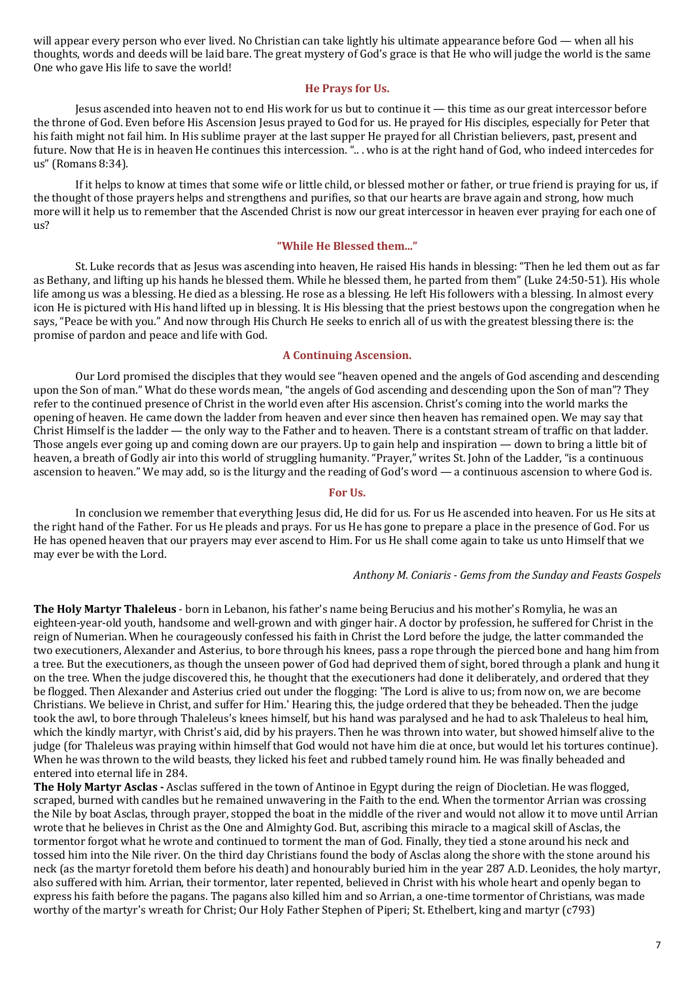will appear every person who ever lived. No Christian can take lightly his ultimate appearance before God — when all his thoughts, words and deeds will be laid bare. The great mystery of God's grace is that He who will judge the world is the same One who gave His life to save the world!

### **He Prays for Us.**

Jesus ascended into heaven not to end His work for us but to continue it — this time as our great intercessor before the throne of God. Even before His Ascension Jesus prayed to God for us. He prayed for His disciples, especially for Peter that his faith might not fail him. In His sublime prayer at the last supper He prayed for all Christian believers, past, present and future. Now that He is in heaven He continues this intercession. "... who is at the right hand of God, who indeed intercedes for us" (Romans 8:34).

If it helps to know at times that some wife or little child, or blessed mother or father, or true friend is praying for us, if the thought of those prayers helps and strengthens and purifies, so that our hearts are brave again and strong, how much more will it help us to remember that the Ascended Christ is now our great intercessor in heaven ever praying for each one of us?

#### **"While He Blessed them..."**

St. Luke records that as Jesus was ascending into heaven, He raised His hands in blessing: "Then he led them out as far as Bethany, and lifting up his hands he blessed them. While he blessed them, he parted from them" (Luke 24:50-51). His whole life among us was a blessing. He died as a blessing. He rose as a blessing. He left His followers with a blessing. In almost every icon He is pictured with His hand lifted up in blessing. It is His blessing that the priest bestows upon the congregation when he says, "Peace be with you." And now through His Church He seeks to enrich all of us with the greatest blessing there is: the promise of pardon and peace and life with God.

#### **A Continuing Ascension.**

Our Lord promised the disciples that they would see "heaven opened and the angels of God ascending and descending upon the Son of man." What do these words mean, "the angels of God ascending and descending upon the Son of man"? They refer to the continued presence of Christ in the world even after His ascension. Christ's coming into the world marks the opening of heaven. He came down the ladder from heaven and ever since then heaven has remained open. We may say that Christ Himself is the ladder — the only way to the Father and to heaven. There is a contstant stream of traffic on that ladder. Those angels ever going up and coming down are our prayers. Up to gain help and inspiration — down to bring a little bit of heaven, a breath of Godly air into this world of struggling humanity. "Prayer," writes St. John of the Ladder, "is a continuous ascension to heaven." We may add, so is the liturgy and the reading of God's word — a continuous ascension to where God is.

# **For Us.**

In conclusion we remember that everything Jesus did, He did for us. For us He ascended into heaven. For us He sits at the right hand of the Father. For us He pleads and prays. For us He has gone to prepare a place in the presence of God. For us He has opened heaven that our prayers may ever ascend to Him. For us He shall come again to take us unto Himself that we may ever be with the Lord.

#### *Anthony M. Coniaris - Gems from the Sunday and Feasts Gospels*

**The Holy Martyr Thaleleus** - born in Lebanon, his father's name being Berucius and his mother's Romylia, he was an eighteen-year-old youth, handsome and well-grown and with ginger hair. A doctor by profession, he suffered for Christ in the reign of Numerian. When he courageously confessed his faith in Christ the Lord before the judge, the latter commanded the two executioners, Alexander and Asterius, to bore through his knees, pass a rope through the pierced bone and hang him from a tree. But the executioners, as though the unseen power of God had deprived them of sight, bored through a plank and hung it on the tree. When the judge discovered this, he thought that the executioners had done it deliberately, and ordered that they be flogged. Then Alexander and Asterius cried out under the flogging: 'The Lord is alive to us; from now on, we are become Christians. We believe in Christ, and suffer for Him.' Hearing this, the judge ordered that they be beheaded. Then the judge took the awl, to bore through Thaleleus's knees himself, but his hand was paralysed and he had to ask Thaleleus to heal him, which the kindly martyr, with Christ's aid, did by his prayers. Then he was thrown into water, but showed himself alive to the judge (for Thaleleus was praying within himself that God would not have him die at once, but would let his tortures continue). When he was thrown to the wild beasts, they licked his feet and rubbed tamely round him. He was finally beheaded and entered into eternal life in 284.

**The Holy Martyr Asclas** - Asclas suffered in the town of Antinoe in Egypt during the reign of Diocletian. He was flogged, scraped, burned with candles but he remained unwavering in the Faith to the end. When the tormentor Arrian was crossing the Nile by boat Asclas, through prayer, stopped the boat in the middle of the river and would not allow it to move until Arrian wrote that he believes in Christ as the One and Almighty God. But, ascribing this miracle to a magical skill of Asclas, the tormentor forgot what he wrote and continued to torment the man of God. Finally, they tied a stone around his neck and tossed him into the Nile river. On the third day Christians found the body of Asclas along the shore with the stone around his neck (as the martyr foretold them before his death) and honourably buried him in the year 287 A.D. Leonides, the holy martyr, also suffered with him. Arrian, their tormentor, later repented, believed in Christ with his whole heart and openly began to express his faith before the pagans. The pagans also killed him and so Arrian, a one-time tormentor of Christians, was made worthy of the martyr's wreath for Christ; Our Holy Father Stephen of Piperi; St. Ethelbert, king and martyr (c793)